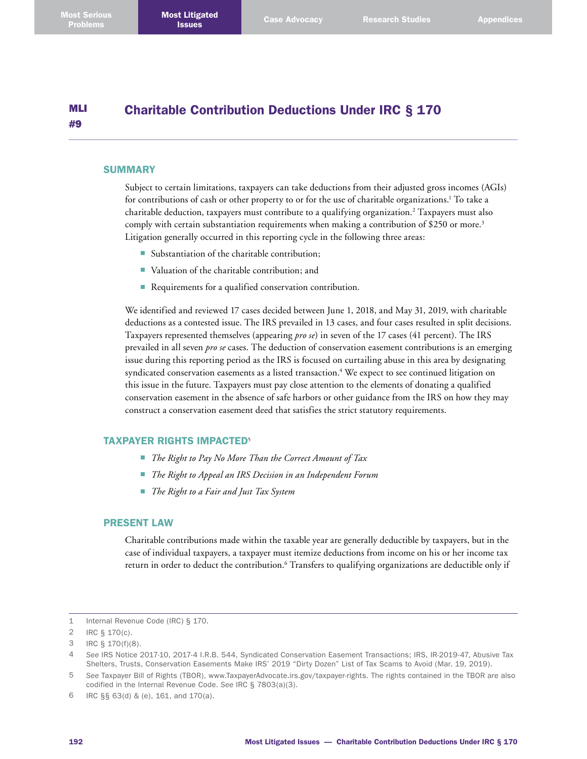#### MLI #9 Charitable Contribution Deductions Under IRC § 170

#### **SUMMARY**

Subject to certain limitations, taxpayers can take deductions from their adjusted gross incomes (AGIs) for contributions of cash or other property to or for the use of charitable organizations.<sup>1</sup> To take a charitable deduction, taxpayers must contribute to a qualifying organization. 2 Taxpayers must also comply with certain substantiation requirements when making a contribution of \$250 or more. 3 Litigation generally occurred in this reporting cycle in the following three areas:

- Substantiation of the charitable contribution;
- Valuation of the charitable contribution; and
- Requirements for a qualified conservation contribution.

We identified and reviewed 17 cases decided between June 1, 2018, and May 31, 2019, with charitable deductions as a contested issue. The IRS prevailed in 13 cases, and four cases resulted in split decisions. Taxpayers represented themselves (appearing *pro se*) in seven of the 17 cases (41 percent). The IRS prevailed in all seven *pro se* cases. The deduction of conservation easement contributions is an emerging issue during this reporting period as the IRS is focused on curtailing abuse in this area by designating syndicated conservation easements as a listed transaction. 4 We expect to see continued litigation on this issue in the future. Taxpayers must pay close attention to the elements of donating a qualified conservation easement in the absence of safe harbors or other guidance from the IRS on how they may construct a conservation easement deed that satisfies the strict statutory requirements.

### TAXPAYER RIGHTS IMPACTED<sup>5</sup>

- *The Right to Pay No More Than the Correct Amount of Tax*
- *The Right to Appeal an IRS Decision in an Independent Forum*
- *The Right to a Fair and Just Tax System*

## PRESENT LAW

Charitable contributions made within the taxable year are generally deductible by taxpayers, but in the case of individual taxpayers, a taxpayer must itemize deductions from income on his or her income tax return in order to deduct the contribution. 6 Transfers to qualifying organizations are deductible only if

<sup>1</sup> Internal Revenue Code (IRC) § 170.

<sup>2</sup> IRC § 170(c).

<sup>3</sup> IRC § 170(f)(8).

<sup>4</sup> *See* IRS Notice 2017-10, 2017-4 I.R.B. 544, Syndicated Conservation Easement Transactions; IRS, IR-2019-47, Abusive Tax Shelters, Trusts, Conservation Easements Make IRS' 2019 "Dirty Dozen" List of Tax Scams to Avoid (Mar. 19, 2019).

<sup>5</sup> *See* Taxpayer Bill of Rights (TBOR), [www.TaxpayerAdvocate.irs.gov/taxpayer-rights](http://www.TaxpayerAdvocate.irs.gov/taxpayer-rights). The rights contained in the TBOR are also codified in the Internal Revenue Code. *See* IRC § 7803(a)(3).

<sup>6</sup> IRC §§ 63(d) & (e), 161, and 170(a).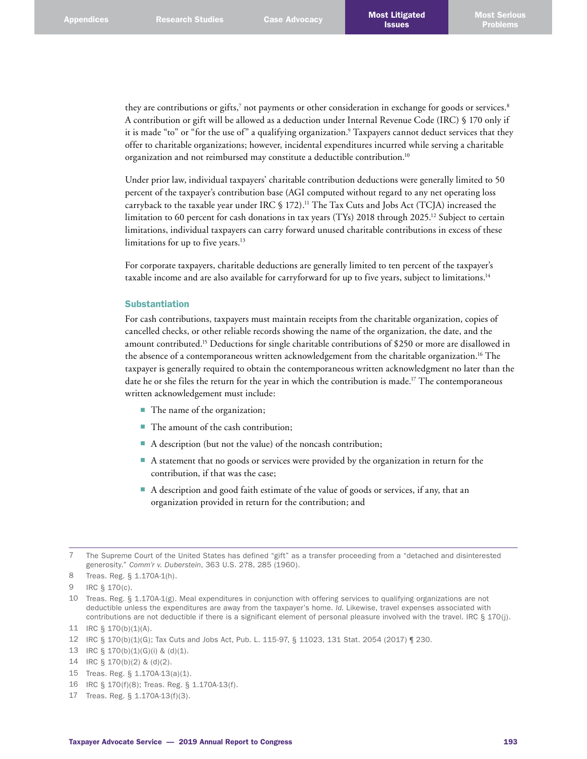they are contributions or gifts,<sup>7</sup> not payments or other consideration in exchange for goods or services.<sup>8</sup> A contribution or gift will be allowed as a deduction under Internal Revenue Code (IRC) § 170 only if it is made "to" or "for the use of" a qualifying organization. 9 Taxpayers cannot deduct services that they offer to charitable organizations; however, incidental expenditures incurred while serving a charitable organization and not reimbursed may constitute a deductible contribution. 10

Under prior law, individual taxpayers' charitable contribution deductions were generally limited to 50 percent of the taxpayer's contribution base (AGI computed without regard to any net operating loss carryback to the taxable year under IRC § 172). 11 The Tax Cuts and Jobs Act (TCJA) increased the limitation to 60 percent for cash donations in tax years (TYs) 2018 through 2025. 12 Subject to certain limitations, individual taxpayers can carry forward unused charitable contributions in excess of these limitations for up to five years. 13

For corporate taxpayers, charitable deductions are generally limited to ten percent of the taxpayer's taxable income and are also available for carryforward for up to five years, subject to limitations.<sup>14</sup>

#### Substantiation

For cash contributions, taxpayers must maintain receipts from the charitable organization, copies of cancelled checks, or other reliable records showing the name of the organization, the date, and the amount contributed. 15 Deductions for single charitable contributions of \$250 or more are disallowed in the absence of a contemporaneous written acknowledgement from the charitable organization. 16 The taxpayer is generally required to obtain the contemporaneous written acknowledgment no later than the date he or she files the return for the year in which the contribution is made. 17 The contemporaneous written acknowledgement must include:

- The name of the organization;
- The amount of the cash contribution;
- A description (but not the value) of the noncash contribution;
- A statement that no goods or services were provided by the organization in return for the contribution, if that was the case;
- A description and good faith estimate of the value of goods or services, if any, that an organization provided in return for the contribution; and

- 13 IRC § 170(b)(1)(G)(i) & (d)(1).
- 14 IRC § 170(b)(2) & (d)(2).
- 15 Treas. Reg. § 1.170A-13(a)(1).
- 16 IRC § 170(f)(8); Treas. Reg. § 1.170A-13(f).
- 17 Treas. Reg. § 1.170A-13(f)(3).

<sup>7</sup> The Supreme Court of the United States has defined "gift" as a transfer proceeding from a "detached and disinterested generosity." *Comm'r v. Duberstein*, 363 U.S. 278, 285 (1960).

<sup>8</sup> Treas. Reg. § 1.170A-1(h).

<sup>9</sup> IRC § 170(c).

<sup>10</sup> Treas. Reg. § 1.170A-1(g). Meal expenditures in conjunction with offering services to qualifying organizations are not deductible unless the expenditures are away from the taxpayer's home. *Id.* Likewise, travel expenses associated with contributions are not deductible if there is a significant element of personal pleasure involved with the travel. IRC § 170(j).

<sup>11</sup> IRC § 170(b)(1)(A).

<sup>12</sup> IRC § 170(b)(1)(G); Tax Cuts and Jobs Act, Pub. L. 115-97, § 11023, 131 Stat. 2054 (2017) ¶ 230.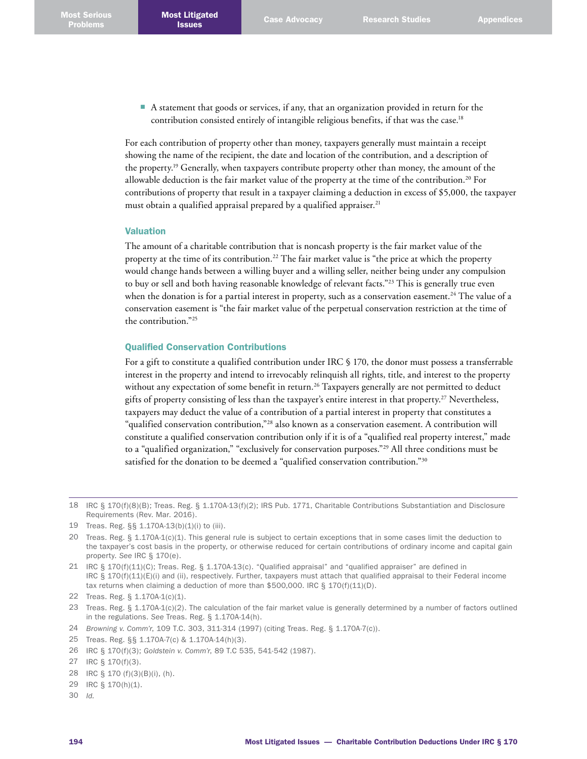■ A statement that goods or services, if any, that an organization provided in return for the contribution consisted entirely of intangible religious benefits, if that was the case. 18

For each contribution of property other than money, taxpayers generally must maintain a receipt showing the name of the recipient, the date and location of the contribution, and a description of the property. 19 Generally, when taxpayers contribute property other than money, the amount of the allowable deduction is the fair market value of the property at the time of the contribution. 20 For contributions of property that result in a taxpayer claiming a deduction in excess of \$5,000, the taxpayer must obtain a qualified appraisal prepared by a qualified appraiser. 21

## Valuation

The amount of a charitable contribution that is noncash property is the fair market value of the property at the time of its contribution. 22 The fair market value is "the price at which the property would change hands between a willing buyer and a willing seller, neither being under any compulsion to buy or sell and both having reasonable knowledge of relevant facts."<sup>23</sup> This is generally true even when the donation is for a partial interest in property, such as a conservation easement. 24 The value of a conservation easement is "the fair market value of the perpetual conservation restriction at the time of the contribution."25

## Qualified Conservation Contributions

For a gift to constitute a qualified contribution under IRC § 170, the donor must possess a transferrable interest in the property and intend to irrevocably relinquish all rights, title, and interest to the property without any expectation of some benefit in return. 26 Taxpayers generally are not permitted to deduct gifts of property consisting of less than the taxpayer's entire interest in that property. 27 Nevertheless, taxpayers may deduct the value of a contribution of a partial interest in property that constitutes a "qualified conservation contribution,"28 also known as a conservation easement. A contribution will constitute a qualified conservation contribution only if it is of a "qualified real property interest," made to a "qualified organization," "exclusively for conservation purposes."<sup>29</sup> All three conditions must be satisfied for the donation to be deemed a "qualified conservation contribution."<sup>30</sup>

- 28 IRC § 170 (f)(3)(B)(i), (h).
- 29 IRC § 170(h)(1).
- 30 *Id.*

<sup>18</sup> IRC § 170(f)(8)(B); Treas. Reg. § 1.170A-13(f)(2); IRS Pub. 1771, Charitable Contributions Substantiation and Disclosure Requirements (Rev. Mar. 2016).

<sup>19</sup> Treas. Reg. §§ 1.170A-13(b)(1)(i) to (iii).

<sup>20</sup> Treas. Reg. § 1.170A-1(c)(1). This general rule is subject to certain exceptions that in some cases limit the deduction to the taxpayer's cost basis in the property, or otherwise reduced for certain contributions of ordinary income and capital gain property. *See* IRC § 170(e).

<sup>21</sup> IRC § 170(f)(11)(C); Treas. Reg. § 1.170A-13(c). "Qualified appraisal" and "qualified appraiser" are defined in IRC  $\S$  170(f)(11)(E)(i) and (ii), respectively. Further, taxpayers must attach that qualified appraisal to their Federal income tax returns when claiming a deduction of more than \$500,000. IRC § 170(f)(11)(D).

<sup>22</sup> Treas. Reg. § 1.170A-1(c)(1).

<sup>23</sup> Treas. Reg. § 1.170A-1(c)(2). The calculation of the fair market value is generally determined by a number of factors outlined in the regulations. *See* Treas. Reg. § 1.170A-14(h).

<sup>24</sup> *Browning v. Comm'r*, 109 T.C. 303, 311-314 (1997) (citing Treas. Reg. § 1.170A-7(c)).

<sup>25</sup> Treas. Reg. §§ 1.170A-7(c) & 1.170A-14(h)(3).

<sup>26</sup> IRC § 170(f)(3); *Goldstein v. Comm'r*, 89 T.C 535, 541-542 (1987).

<sup>27</sup> IRC § 170(f)(3).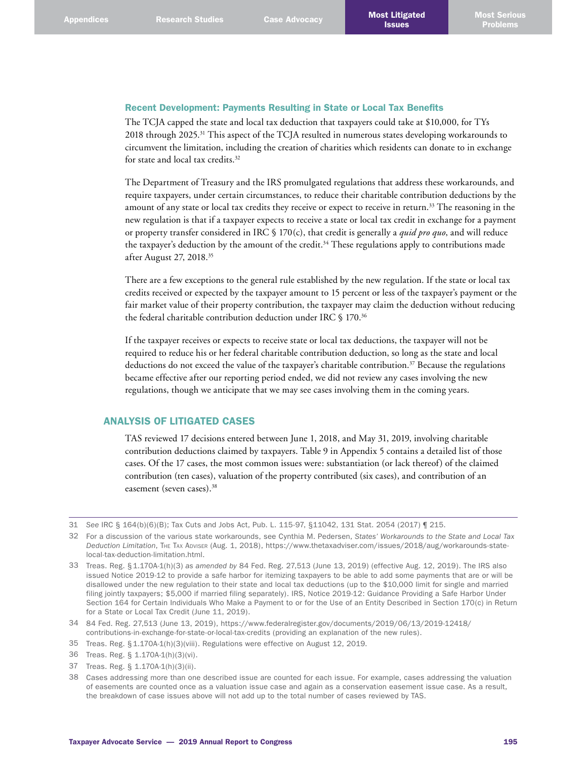## Recent Development: Payments Resulting in State or Local Tax Benefits

The TCJA capped the state and local tax deduction that taxpayers could take at \$10,000, for TYs 2018 through 2025.<sup>31</sup> This aspect of the TCJA resulted in numerous states developing workarounds to circumvent the limitation, including the creation of charities which residents can donate to in exchange for state and local tax credits. 32

The Department of Treasury and the IRS promulgated regulations that address these workarounds, and require taxpayers, under certain circumstances, to reduce their charitable contribution deductions by the amount of any state or local tax credits they receive or expect to receive in return. 33 The reasoning in the new regulation is that if a taxpayer expects to receive a state or local tax credit in exchange for a payment or property transfer considered in IRC § 170(c), that credit is generally a *quid pro quo*, and will reduce the taxpayer's deduction by the amount of the credit. 34 These regulations apply to contributions made after August 27, 2018. 35

There are a few exceptions to the general rule established by the new regulation. If the state or local tax credits received or expected by the taxpayer amount to 15 percent or less of the taxpayer's payment or the fair market value of their property contribution, the taxpayer may claim the deduction without reducing the federal charitable contribution deduction under IRC § 170. 36

If the taxpayer receives or expects to receive state or local tax deductions, the taxpayer will not be required to reduce his or her federal charitable contribution deduction, so long as the state and local deductions do not exceed the value of the taxpayer's charitable contribution. 37 Because the regulations became effective after our reporting period ended, we did not review any cases involving the new regulations, though we anticipate that we may see cases involving them in the coming years.

# ANALYSIS OF LITIGATED CASES

TAS reviewed 17 decisions entered between June 1, 2018, and May 31, 2019, involving charitable contribution deductions claimed by taxpayers. Table 9 in Appendix 5 contains a detailed list of those cases. Of the 17 cases, the most common issues were: substantiation (or lack thereof) of the claimed contribution (ten cases), valuation of the property contributed (six cases), and contribution of an easement (seven cases). 38

35 Treas. Reg. §1.170A-1(h)(3)(viii). Regulations were effective on August 12, 2019.

37 Treas. Reg. § 1.170A-1(h)(3)(ii).

<sup>31</sup> *See* IRC § 164(b)(6)(B); Tax Cuts and Jobs Act, Pub. L. 115-97, §11042, 131 Stat. 2054 (2017) ¶ 215.

<sup>32</sup> For a discussion of the various state workarounds, see Cynthia M. Pedersen, *States' Workarounds to the State and Local Tax Deduction Limitation*, The Tax Adviser (Aug. 1, 2018), [https://www.thetaxadviser.com/issues/2018/aug/workarounds-state](https://www.thetaxadviser.com/issues/2018/aug/workarounds-state-local-tax-deduction-limitation.html)[local-tax-deduction-limitation.html](https://www.thetaxadviser.com/issues/2018/aug/workarounds-state-local-tax-deduction-limitation.html).

<sup>33</sup> Treas. Reg. §1.170A-1(h)(3) *as amended by* 84 Fed. Reg. 27,513 (June 13, 2019) (effective Aug. 12, 2019). The IRS also issued Notice 2019-12 to provide a safe harbor for itemizing taxpayers to be able to add some payments that are or will be disallowed under the new regulation to their state and local tax deductions (up to the \$10,000 limit for single and married filing jointly taxpayers; \$5,000 if married filing separately). IRS, Notice 2019-12: Guidance Providing a Safe Harbor Under Section 164 for Certain Individuals Who Make a Payment to or for the Use of an Entity Described in Section 170(c) in Return for a State or Local Tax Credit (June 11, 2019).

<sup>34</sup> 84 Fed. Reg. 27,513 (June 13, 2019), [https://www.federalregister.gov/documents/2019/06/13/2019-12418/](https://www.federalregister.gov/documents/2019/06/13/2019-12418/contributions-in-exchange-for-state-or-local-tax-credits) [contributions-in-exchange-for-state-or-local-tax-credits](https://www.federalregister.gov/documents/2019/06/13/2019-12418/contributions-in-exchange-for-state-or-local-tax-credits) (providing an explanation of the new rules).

<sup>36</sup> Treas. Reg. § 1.170A-1(h)(3)(vi).

<sup>38</sup> Cases addressing more than one described issue are counted for each issue. For example, cases addressing the valuation of easements are counted once as a valuation issue case and again as a conservation easement issue case. As a result, the breakdown of case issues above will not add up to the total number of cases reviewed by TAS.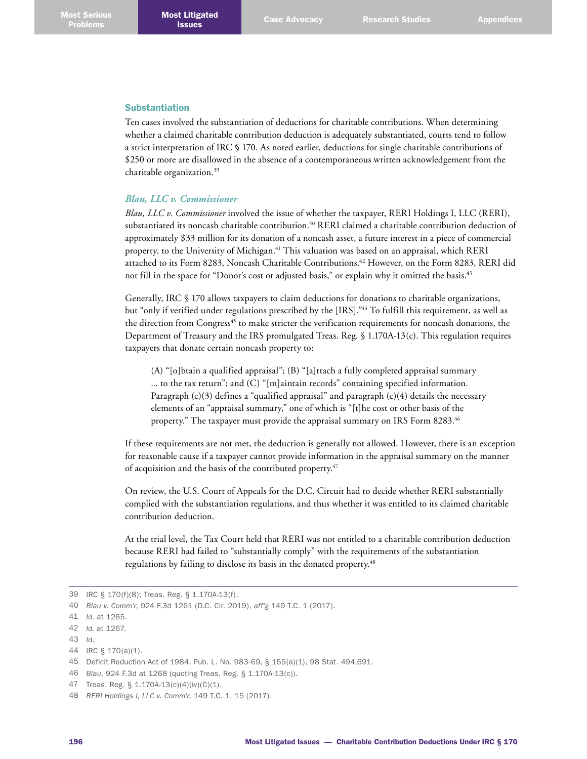#### Substantiation

Ten cases involved the substantiation of deductions for charitable contributions. When determining whether a claimed charitable contribution deduction is adequately substantiated, courts tend to follow a strict interpretation of IRC § 170. As noted earlier, deductions for single charitable contributions of \$250 or more are disallowed in the absence of a contemporaneous written acknowledgement from the charitable organization. 39

#### *Blau, LLC v. Commissioner*

*Blau, LLC v. Commissioner* involved the issue of whether the taxpayer, RERI Holdings I, LLC (RERI), substantiated its noncash charitable contribution. 40 RERI claimed a charitable contribution deduction of approximately \$33 million for its donation of a noncash asset, a future interest in a piece of commercial property, to the University of Michigan. 41 This valuation was based on an appraisal, which RERI attached to its Form 8283, Noncash Charitable Contributions. 42 However, on the Form 8283, RERI did not fill in the space for "Donor's cost or adjusted basis," or explain why it omitted the basis. 43

Generally, IRC § 170 allows taxpayers to claim deductions for donations to charitable organizations, but "only if verified under regulations prescribed by the [IRS]." 44 To fulfill this requirement, as well as the direction from Congress<sup>45</sup> to make stricter the verification requirements for noncash donations, the Department of Treasury and the IRS promulgated Treas. Reg. § 1.170A-13(c). This regulation requires taxpayers that donate certain noncash property to:

(A) "[o]btain a qualified appraisal"; (B) "[a]ttach a fully completed appraisal summary ... to the tax return"; and (C) "[m]aintain records" containing specified information. Paragraph  $(c)(3)$  defines a "qualified appraisal" and paragraph  $(c)(4)$  details the necessary elements of an "appraisal summary," one of which is "[t]he cost or other basis of the property." The taxpayer must provide the appraisal summary on IRS Form 8283. 46

If these requirements are not met, the deduction is generally not allowed. However, there is an exception for reasonable cause if a taxpayer cannot provide information in the appraisal summary on the manner of acquisition and the basis of the contributed property. 47

On review, the U.S. Court of Appeals for the D.C. Circuit had to decide whether RERI substantially complied with the substantiation regulations, and thus whether it was entitled to its claimed charitable contribution deduction.

At the trial level, the Tax Court held that RERI was not entitled to a charitable contribution deduction because RERI had failed to "substantially comply" with the requirements of the substantiation regulations by failing to disclose its basis in the donated property. 48

<sup>39</sup> IRC § 170(f)(8); Treas. Reg. § 1.170A-13(f).

<sup>40</sup> *Blau v. Comm'r*, 924 F.3d 1261 (D.C. Cir. 2019), *aff'g* 149 T.C. 1 (2017).

<sup>41</sup> *Id.* at 1265.

<sup>42</sup> *Id.* at 1267.

<sup>43</sup> *Id*.

<sup>44</sup> IRC § 170(a)(1).

<sup>45</sup> Deficit Reduction Act of 1984, Pub. L. No. 983-69, § 155(a)(1), 98 Stat. 494,691.

<sup>46</sup> *Blau*, 924 F.3d at 1268 (quoting Treas. Reg. § 1.170A-13(c)).

<sup>47</sup> Treas. Reg. § 1.170A-13(c)(4)(iv)(C)(1).

<sup>48</sup> *RERI Holdings I, LLC v. Comm'r*, 149 T.C. 1, 15 (2017).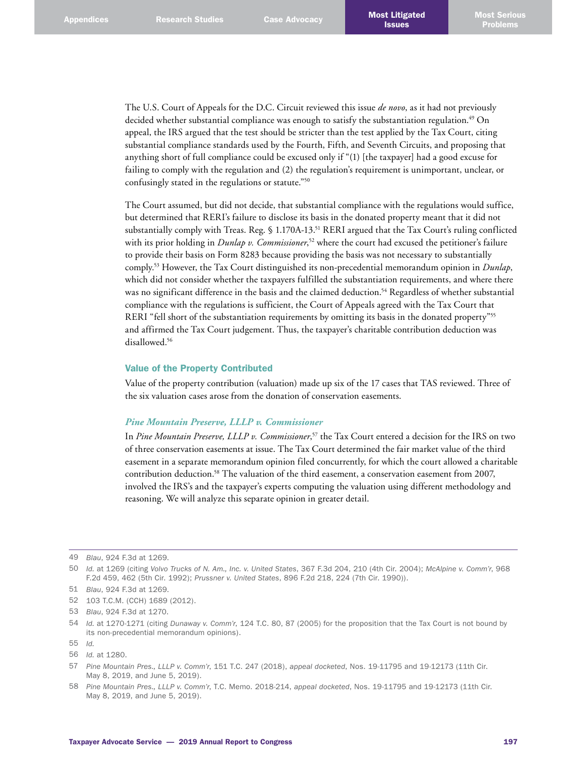The U.S. Court of Appeals for the D.C. Circuit reviewed this issue *de novo*, as it had not previously decided whether substantial compliance was enough to satisfy the substantiation regulation. 49 On appeal, the IRS argued that the test should be stricter than the test applied by the Tax Court, citing substantial compliance standards used by the Fourth, Fifth, and Seventh Circuits, and proposing that anything short of full compliance could be excused only if "(1) [the taxpayer] had a good excuse for failing to comply with the regulation and (2) the regulation's requirement is unimportant, unclear, or confusingly stated in the regulations or statute."50

The Court assumed, but did not decide, that substantial compliance with the regulations would suffice, but determined that RERI's failure to disclose its basis in the donated property meant that it did not substantially comply with Treas. Reg. § 1.170A-13.<sup>51</sup> RERI argued that the Tax Court's ruling conflicted with its prior holding in *Dunlap v. Commissioner*, 52 where the court had excused the petitioner's failure to provide their basis on Form 8283 because providing the basis was not necessary to substantially comply. 53 However, the Tax Court distinguished its non-precedential memorandum opinion in *Dunlap*, which did not consider whether the taxpayers fulfilled the substantiation requirements, and where there was no significant difference in the basis and the claimed deduction. 54 Regardless of whether substantial compliance with the regulations is sufficient, the Court of Appeals agreed with the Tax Court that RERI "fell short of the substantiation requirements by omitting its basis in the donated property"<sup>55</sup> and affirmed the Tax Court judgement. Thus, the taxpayer's charitable contribution deduction was disallowed. 56

#### Value of the Property Contributed

Value of the property contribution (valuation) made up six of the 17 cases that TAS reviewed. Three of the six valuation cases arose from the donation of conservation easements.

## *Pine Mountain Preserve, LLLP v. Commissioner*

In *Pine Mountain Preserve, LLLP v. Commissioner*, 57 the Tax Court entered a decision for the IRS on two of three conservation easements at issue. The Tax Court determined the fair market value of the third easement in a separate memorandum opinion filed concurrently, for which the court allowed a charitable contribution deduction. 58 The valuation of the third easement, a conservation easement from 2007, involved the IRS's and the taxpayer's experts computing the valuation using different methodology and reasoning. We will analyze this separate opinion in greater detail.

<sup>49</sup> *Blau*, 924 F.3d at 1269.

<sup>50</sup> *Id.* at 1269 (citing *Volvo Trucks of N. Am., Inc. v. United States*, 367 F.3d 204, 210 (4th Cir. 2004); *McAlpine v. Comm'r*, 968 F.2d 459, 462 (5th Cir. 1992); *Prussner v. United States*, 896 F.2d 218, 224 (7th Cir. 1990)).

<sup>51</sup> *Blau*, 924 F.3d at 1269.

<sup>52</sup> 103 T.C.M. (CCH) 1689 (2012).

<sup>53</sup> *Blau*, 924 F.3d at 1270.

<sup>54</sup> *Id.* at 1270-1271 (citing *Dunaway v. Comm'r*, 124 T.C. 80, 87 (2005) for the proposition that the Tax Court is not bound by its non-precedential memorandum opinions).

<sup>55</sup> *Id.*

<sup>56</sup> *Id.* at 1280.

<sup>57</sup> *Pine Mountain Pres., LLLP v. Comm'r*, 151 T.C. 247 (2018), *appeal docketed*, Nos. 19-11795 and 19-12173 (11th Cir. May 8, 2019, and June 5, 2019).

<sup>58</sup> *Pine Mountain Pres., LLLP v. Comm'r*, T.C. Memo. 2018-214, *appeal docketed*, Nos. 19-11795 and 19-12173 (11th Cir. May 8, 2019, and June 5, 2019).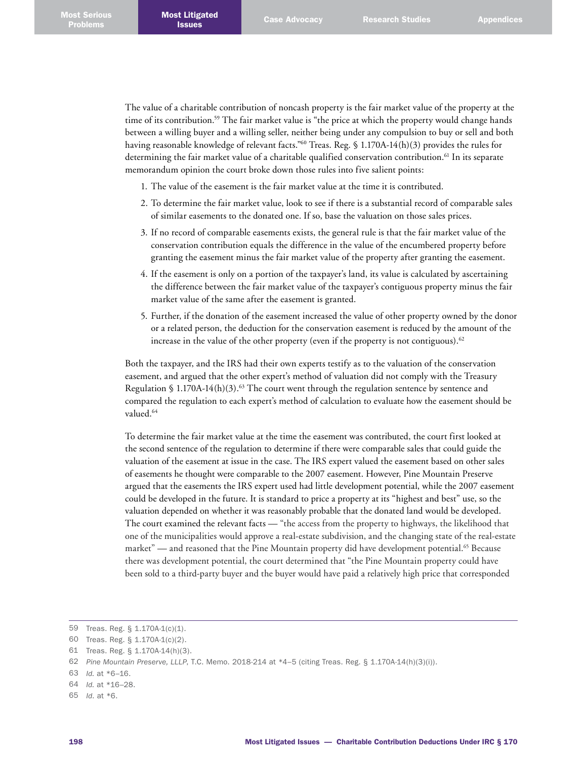The value of a charitable contribution of noncash property is the fair market value of the property at the time of its contribution. 59 The fair market value is "the price at which the property would change hands between a willing buyer and a willing seller, neither being under any compulsion to buy or sell and both having reasonable knowledge of relevant facts."<sup>60</sup> Treas. Reg. § 1.170A-14(h)(3) provides the rules for determining the fair market value of a charitable qualified conservation contribution. 61 In its separate memorandum opinion the court broke down those rules into five salient points:

- 1. The value of the easement is the fair market value at the time it is contributed.
- 2. To determine the fair market value, look to see if there is a substantial record of comparable sales of similar easements to the donated one. If so, base the valuation on those sales prices.
- 3. If no record of comparable easements exists, the general rule is that the fair market value of the conservation contribution equals the difference in the value of the encumbered property before granting the easement minus the fair market value of the property after granting the easement.
- 4. If the easement is only on a portion of the taxpayer's land, its value is calculated by ascertaining the difference between the fair market value of the taxpayer's contiguous property minus the fair market value of the same after the easement is granted.
- 5. Further, if the donation of the easement increased the value of other property owned by the donor or a related person, the deduction for the conservation easement is reduced by the amount of the increase in the value of the other property (even if the property is not contiguous). $^{62}$

Both the taxpayer, and the IRS had their own experts testify as to the valuation of the conservation easement, and argued that the other expert's method of valuation did not comply with the Treasury Regulation § 1.170A-14(h)(3).<sup>63</sup> The court went through the regulation sentence by sentence and compared the regulation to each expert's method of calculation to evaluate how the easement should be valued. 64

To determine the fair market value at the time the easement was contributed, the court first looked at the second sentence of the regulation to determine if there were comparable sales that could guide the valuation of the easement at issue in the case. The IRS expert valued the easement based on other sales of easements he thought were comparable to the 2007 easement. However, Pine Mountain Preserve argued that the easements the IRS expert used had little development potential, while the 2007 easement could be developed in the future. It is standard to price a property at its "highest and best" use, so the valuation depended on whether it was reasonably probable that the donated land would be developed. The court examined the relevant facts — "the access from the property to highways, the likelihood that one of the municipalities would approve a real-estate subdivision, and the changing state of the real-estate market" — and reasoned that the Pine Mountain property did have development potential. 65 Because there was development potential, the court determined that "the Pine Mountain property could have been sold to a third-party buyer and the buyer would have paid a relatively high price that corresponded

<sup>59</sup> Treas. Reg. § 1.170A-1(c)(1).

<sup>60</sup> Treas. Reg. § 1.170A-1(c)(2).

<sup>61</sup> Treas. Reg. § 1.170A-14(h)(3).

<sup>62</sup> *Pine Mountain Preserve, LLLP*, T.C. Memo. 2018-214 at \*4–5 (citing Treas. Reg. § 1.170A-14(h)(3)(i)).

<sup>63</sup> *Id.* at \*6–16.

<sup>64</sup> *Id.* at \*16–28.

<sup>65</sup> *Id*. at \*6.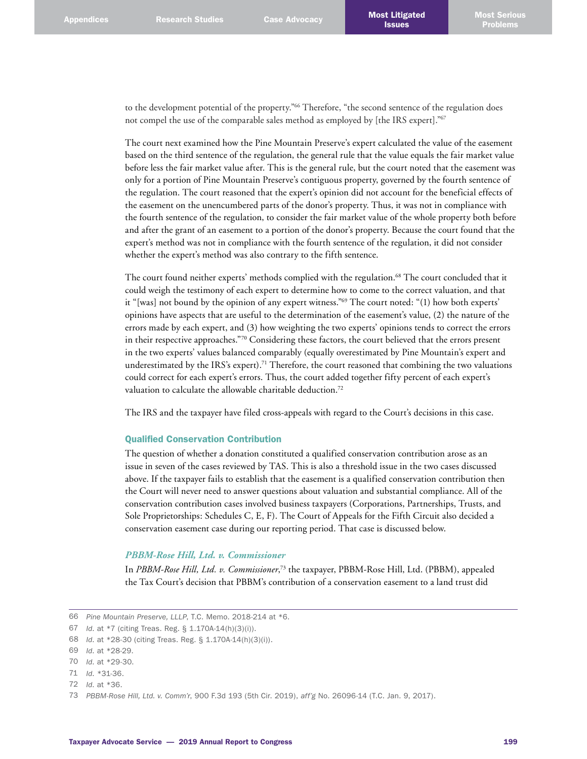to the development potential of the property."<sup>66</sup> Therefore, "the second sentence of the regulation does not compel the use of the comparable sales method as employed by [the IRS expert]."67

The court next examined how the Pine Mountain Preserve's expert calculated the value of the easement based on the third sentence of the regulation, the general rule that the value equals the fair market value before less the fair market value after. This is the general rule, but the court noted that the easement was only for a portion of Pine Mountain Preserve's contiguous property, governed by the fourth sentence of the regulation. The court reasoned that the expert's opinion did not account for the beneficial effects of the easement on the unencumbered parts of the donor's property. Thus, it was not in compliance with the fourth sentence of the regulation, to consider the fair market value of the whole property both before and after the grant of an easement to a portion of the donor's property. Because the court found that the expert's method was not in compliance with the fourth sentence of the regulation, it did not consider whether the expert's method was also contrary to the fifth sentence.

The court found neither experts' methods complied with the regulation. 68 The court concluded that it could weigh the testimony of each expert to determine how to come to the correct valuation, and that it "[was] not bound by the opinion of any expert witness."69 The court noted: "(1) how both experts' opinions have aspects that are useful to the determination of the easement's value, (2) the nature of the errors made by each expert, and (3) how weighting the two experts' opinions tends to correct the errors in their respective approaches."70 Considering these factors, the court believed that the errors present in the two experts' values balanced comparably (equally overestimated by Pine Mountain's expert and underestimated by the IRS's expert). 71 Therefore, the court reasoned that combining the two valuations could correct for each expert's errors. Thus, the court added together fifty percent of each expert's valuation to calculate the allowable charitable deduction. 72

The IRS and the taxpayer have filed cross-appeals with regard to the Court's decisions in this case.

#### Qualified Conservation Contribution

The question of whether a donation constituted a qualified conservation contribution arose as an issue in seven of the cases reviewed by TAS. This is also a threshold issue in the two cases discussed above. If the taxpayer fails to establish that the easement is a qualified conservation contribution then the Court will never need to answer questions about valuation and substantial compliance. All of the conservation contribution cases involved business taxpayers (Corporations, Partnerships, Trusts, and Sole Proprietorships: Schedules C, E, F). The Court of Appeals for the Fifth Circuit also decided a conservation easement case during our reporting period. That case is discussed below.

#### *PBBM-Rose Hill, Ltd. v. Commissioner*

In *PBBM-Rose Hill, Ltd. v. Commissioner*, 73 the taxpayer, PBBM-Rose Hill, Ltd. (PBBM), appealed the Tax Court's decision that PBBM's contribution of a conservation easement to a land trust did

<sup>66</sup> *Pine Mountain Preserve, LLLP*, T.C. Memo. 2018-214 at \*6.

<sup>67</sup> *Id*. at \*7 (citing Treas. Reg. § 1.170A-14(h)(3)(i)).

<sup>68</sup> *Id*. at \*28-30 (citing Treas. Reg. § 1.170A-14(h)(3)(i)).

<sup>69</sup> *Id*. at \*28-29.

<sup>70</sup> *Id*. at \*29-30.

<sup>71</sup> *Id*. \*31-36.

<sup>72</sup> *Id*. at \*36.

<sup>73</sup> *PBBM-Rose Hill, Ltd. v. Comm'r*, 900 F.3d 193 (5th Cir. 2019), *aff'g* No. 26096-14 (T.C. Jan. 9, 2017).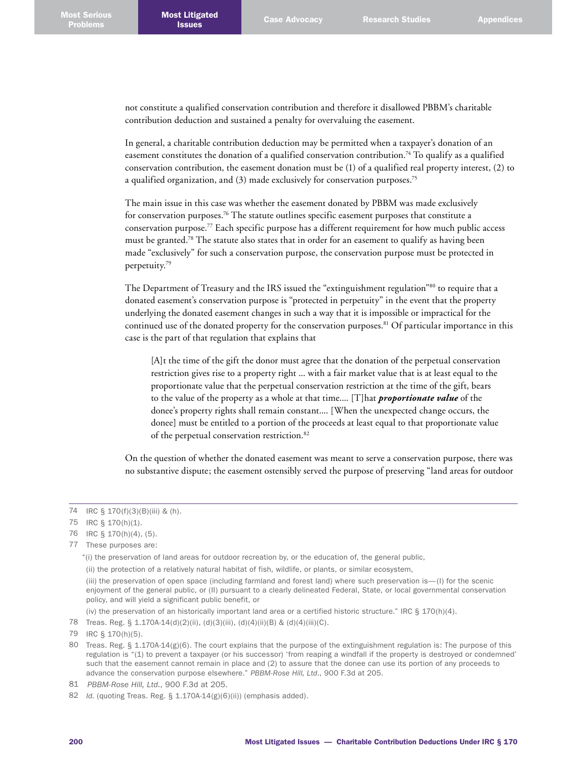not constitute a qualified conservation contribution and therefore it disallowed PBBM's charitable contribution deduction and sustained a penalty for overvaluing the easement.

In general, a charitable contribution deduction may be permitted when a taxpayer's donation of an easement constitutes the donation of a qualified conservation contribution.<sup>74</sup> To qualify as a qualified conservation contribution, the easement donation must be (1) of a qualified real property interest, (2) to a qualified organization, and (3) made exclusively for conservation purposes.<sup>75</sup>

The main issue in this case was whether the easement donated by PBBM was made exclusively for conservation purposes. $^{76}\rm{The}$  statute outlines specific easement purposes that constitute a conservation purpose. 77 Each specific purpose has a different requirement for how much public access must be granted.<sup>78</sup> The statute also states that in order for an easement to qualify as having been made "exclusively" for such a conservation purpose, the conservation purpose must be protected in perpetuity. 79

The Department of Treasury and the IRS issued the "extinguishment regulation"<sup>80</sup> to require that a donated easement's conservation purpose is "protected in perpetuity" in the event that the property underlying the donated easement changes in such a way that it is impossible or impractical for the continued use of the donated property for the conservation purposes. 81 Of particular importance in this case is the part of that regulation that explains that

[A]t the time of the gift the donor must agree that the donation of the perpetual conservation restriction gives rise to a property right ... with a fair market value that is at least equal to the proportionate value that the perpetual conservation restriction at the time of the gift, bears to the value of the property as a whole at that time.... [T]hat *proportionate value* of the donee's property rights shall remain constant.... [When the unexpected change occurs, the donee] must be entitled to a portion of the proceeds at least equal to that proportionate value of the perpetual conservation restriction. 82

On the question of whether the donated easement was meant to serve a conservation purpose, there was no substantive dispute; the easement ostensibly served the purpose of preserving "land areas for outdoor

- 75 IRC § 170(h)(1).
- 76 IRC § 170(h)(4), (5).
- 77 These purposes are:

78 [Treas. Reg. § 1.170A-14\(d\)\(2\)\(ii\), \(d\)\(3\)\(iii\), \(d\)\(4\)\(ii\)\(B\) & \(d\)\(4\)\(iii\)\(C\)](https://1.next.westlaw.com/Link/Document/FullText?findType=L&pubNum=1000547&cite=26CFRS1.170A-14&originatingDoc=Ib2bb0070a01411e888e382e865ea2ff8&refType=LQ&originationContext=document&transitionType=DocumentItem&contextData=(sc.Folder*cid.777a4884d3ed4b6fb8a155b2c8e02f90*oc.Search)).

<sup>74</sup> IRC § 170(f)(3)(B)(iii) & (h).

<sup>&</sup>quot;(i) the preservation of land areas for outdoor recreation by, or the education of, the general public,

<sup>(</sup>ii) the protection of a relatively natural habitat of fish, wildlife, or plants, or similar ecosystem,

<sup>(</sup>iii) the preservation of open space (including farmland and forest land) where such preservation is—(I) for the scenic enjoyment of the general public, or (II) pursuant to a clearly delineated Federal, State, or local governmental conservation policy, and will yield a significant public benefit, or

<sup>(</sup>iv) the preservation of an historically important land area or a certified historic structure." IRC  $\S 170(h)(4)$ .

<sup>79</sup> IRC § 170(h)(5).

<sup>80</sup> Treas. Reg. § 1.170A-14(g)(6). The court explains that the purpose of the extinguishment regulation is: The purpose of this regulation is "(1) to prevent a taxpayer (or his successor) 'from reaping a windfall if the property is destroyed or condemned' such that the easement cannot remain in place and (2) to assure that the donee can use its portion of any proceeds to advance the conservation purpose elsewhere." *PBBM-Rose Hill, Ltd*., 900 F.3d at 205.

<sup>81</sup> *PBBM-Rose Hill, Ltd*., 900 F.3d at 205.

<sup>82</sup> *Id.* (quoting Treas. Reg. § 1.170A-14(g)(6)(ii)) (emphasis added).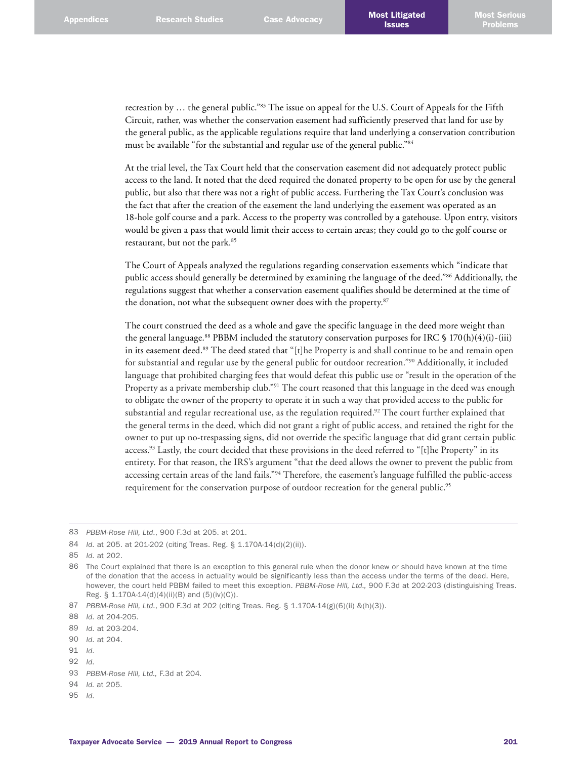recreation by … the general public."83 The issue on appeal for the U.S. Court of Appeals for the Fifth Circuit, rather, was whether the conservation easement had sufficiently preserved that land for use by the general public, as the applicable regulations require that land underlying a conservation contribution must be available "for the substantial and regular use of the general public."84

At the trial level, the Tax Court held that the conservation easement did not adequately protect public access to the land. It noted that the deed required the donated property to be open for use by the general public, but also that there was not a right of public access. Furthering the Tax Court's conclusion was the fact that after the creation of the easement the land underlying the easement was operated as an 18-hole golf course and a park. Access to the property was controlled by a gatehouse. Upon entry, visitors would be given a pass that would limit their access to certain areas; they could go to the golf course or restaurant, but not the park. 85

The Court of Appeals analyzed the regulations regarding conservation easements which "indicate that public access should generally be determined by examining the language of the deed."86 Additionally, the regulations suggest that whether a conservation easement qualifies should be determined at the time of the donation, not what the subsequent owner does with the property. 87

The court construed the deed as a whole and gave the specific language in the deed more weight than the general language.<sup>88</sup> PBBM included the statutory conservation purposes for IRC § 170(h)(4)(i)-(iii) in its easement deed. 89 The deed stated that "[t]he Property is and shall continue to be and remain open for substantial and regular use by the general public for outdoor recreation."90 Additionally, it included language that prohibited charging fees that would defeat this public use or "result in the operation of the Property as a private membership club."<sup>91</sup> The court reasoned that this language in the deed was enough to obligate the owner of the property to operate it in such a way that provided access to the public for substantial and regular recreational use, as the regulation required. 92 The court further explained that the general terms in the deed, which did not grant a right of public access, and retained the right for the owner to put up no-trespassing signs, did not override the specific language that did grant certain public access.<sup>93</sup> Lastly, the court decided that these provisions in the deed referred to "[t]he Property" in its entirety. For that reason, the IRS's argument "that the deed allows the owner to prevent the public from accessing certain areas of the land fails."94 Therefore, the easement's language fulfilled the public-access requirement for the conservation purpose of outdoor recreation for the general public. 95

95 *Id*.

<sup>83</sup> *PBBM-Rose Hill, Ltd*., 900 F.3d at 205. at 201.

<sup>84</sup> *Id*. at 205. at 201-202 (citing Treas. Reg. § 1.170A-14(d)(2)(ii)).

<sup>85</sup> *Id*. at 202.

<sup>86</sup> The Court explained that there is an exception to this general rule when the donor knew or should have known at the time of the donation that the access in actuality would be significantly less than the access under the terms of the deed. Here, however, the court held PBBM failed to meet this exception. *PBBM-Rose Hill, Ltd.,* 900 F.3d at 202-203 (distinguishing Treas. Reg. § 1.170A-14(d)(4)(ii)(B) and (5)(iv)(C)).

<sup>87</sup> *PBBM-Rose Hill, Ltd*., 900 F.3d at 202 (citing Treas. Reg. § 1.170A-14(g)(6)(ii) &(h)(3)).

<sup>88</sup> *Id*. at 204-205.

<sup>89</sup> *Id*. at 203-204.

<sup>90</sup> *Id*. at 204.

<sup>91</sup> *Id*.

<sup>92</sup> *Id*.

<sup>93</sup> *PBBM-Rose Hill, Ltd.,* F.3d at 204*.*

<sup>94</sup> *Id.* at 205.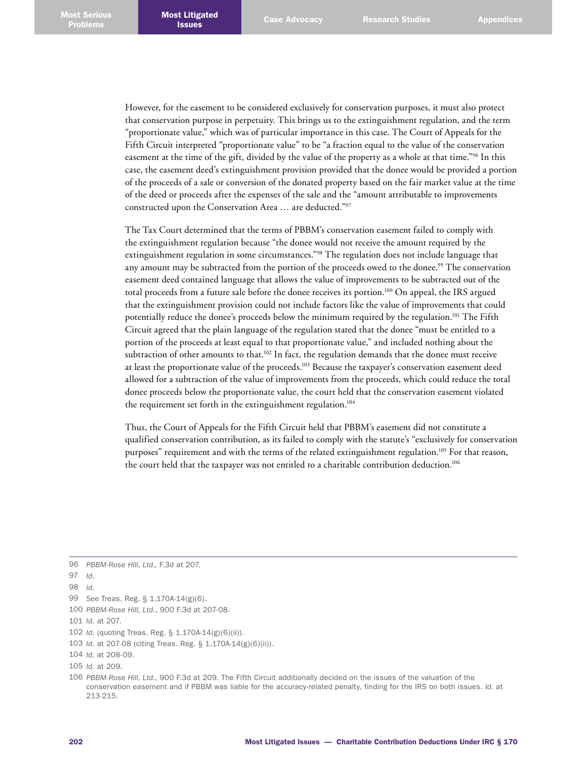However, for the easement to be considered exclusively for conservation purposes, it must also protect that conservation purpose in perpetuity. This brings us to the extinguishment regulation, and the term "proportionate value," which was of particular importance in this case. The Court of Appeals for the Fifth Circuit interpreted "proportionate value" to be "a fraction equal to the value of the conservation easement at the time of the gift, divided by the value of the property as a whole at that time."96 In this case, the easement deed's extinguishment provision provided that the donee would be provided a portion of the proceeds of a sale or conversion of the donated property based on the fair market value at the time of the deed or proceeds after the expenses of the sale and the "amount attributable to improvements constructed upon the Conservation Area … are deducted."97

The Tax Court determined that the terms of PBBM's conservation easement failed to comply with the extinguishment regulation because "the donee would not receive the amount required by the extinguishment regulation in some circumstances."98 The regulation does not include language that any amount may be subtracted from the portion of the proceeds owed to the donee. 99 The conservation easement deed contained language that allows the value of improvements to be subtracted out of the total proceeds from a future sale before the donee receives its portion. 100 On appeal, the IRS argued that the extinguishment provision could not include factors like the value of improvements that could potentially reduce the donee's proceeds below the minimum required by the regulation. 101 The Fifth Circuit agreed that the plain language of the regulation stated that the donee "must be entitled to a portion of the proceeds at least equal to that proportionate value," and included nothing about the subtraction of other amounts to that. 102 In fact, the regulation demands that the donee must receive at least the proportionate value of the proceeds. 103 Because the taxpayer's conservation easement deed allowed for a subtraction of the value of improvements from the proceeds, which could reduce the total donee proceeds below the proportionate value, the court held that the conservation easement violated the requirement set forth in the extinguishment regulation.<sup>104</sup>

Thus, the Court of Appeals for the Fifth Circuit held that PBBM's easement did not constitute a qualified conservation contribution, as its failed to comply with the statute's "exclusively for conservation purposes" requirement and with the terms of the related extinguishment regulation. 105 For that reason, the court held that the taxpayer was not entitled to a charitable contribution deduction. 106

97 *Id*.

101 *Id*. at 207.

106 *PBBM-Rose Hill, Ltd.*, 900 F.3d at 209. The Fifth Circuit additionally decided on the issues of the valuation of the conservation easement and if PBBM was liable for the accuracy-related penalty, finding for the IRS on both issues. *Id*. at 213-215.

<sup>96</sup> *PBBM-Rose Hill, Ltd.,* F.3d at 207.

<sup>98</sup> *Id*.

<sup>99</sup> *See* Treas. Reg. § 1.170A-14(g)(6).

<sup>100</sup> *PBBM-Rose Hill, Ltd*., 900 F.3d at 207-08.

<sup>102</sup> *Id*. (quoting Treas. Reg. § 1.170A-14(g)(6)(ii)).

<sup>103</sup> *Id*. at 207-08 (citing Treas. Reg. § 1.170A-14(g)(6)(ii)).

<sup>104</sup> *Id*. at 208-09.

<sup>105</sup> *Id*. at 209.